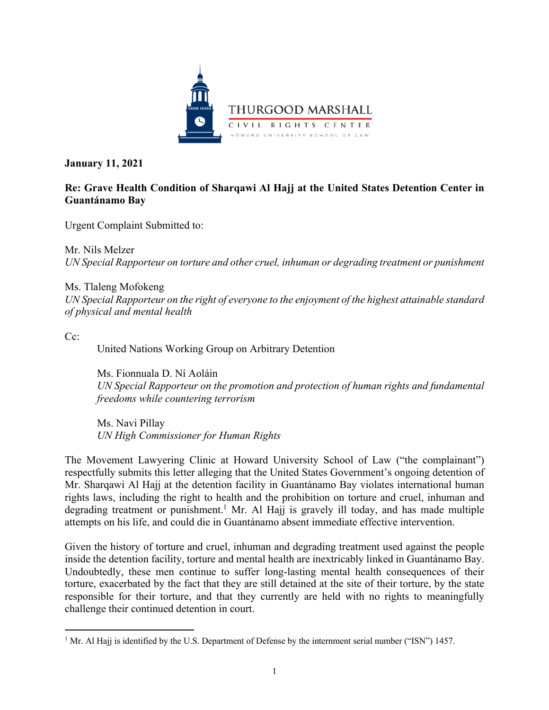

**January 11, 2021**

# **Re: Grave Health Condition of Sharqawi Al Hajj at the United States Detention Center in Guantánamo Bay**

Urgent Complaint Submitted to:

Mr. Nils Melzer *UN Special Rapporteur on torture and other cruel, inhuman or degrading treatment or punishment* 

Ms. Tlaleng Mofokeng *UN Special Rapporteur on the right of everyone to the enjoyment of the highest attainable standard of physical and mental health* 

Cc:

United Nations Working Group on Arbitrary Detention

Ms. Fionnuala D. Ní Aoláin *UN Special Rapporteur on the promotion and protection of human rights and fundamental freedoms while countering terrorism*

Ms. Navi Pillay *UN High Commissioner for Human Rights*

The Movement Lawyering Clinic at Howard University School of Law ("the complainant") respectfully submits this letter alleging that the United States Government's ongoing detention of Mr. Sharqawi Al Hajj at the detention facility in Guantánamo Bay violates international human rights laws, including the right to health and the prohibition on torture and cruel, inhuman and degrading treatment or punishment.<sup>1</sup> Mr. Al Hajj is gravely ill today, and has made multiple attempts on his life, and could die in Guantánamo absent immediate effective intervention.

Given the history of torture and cruel, inhuman and degrading treatment used against the people inside the detention facility, torture and mental health are inextricably linked in Guantánamo Bay. Undoubtedly, these men continue to suffer long-lasting mental health consequences of their torture, exacerbated by the fact that they are still detained at the site of their torture, by the state responsible for their torture, and that they currently are held with no rights to meaningfully challenge their continued detention in court.

<sup>&</sup>lt;sup>1</sup> Mr. Al Hajj is identified by the U.S. Department of Defense by the internment serial number ("ISN") 1457.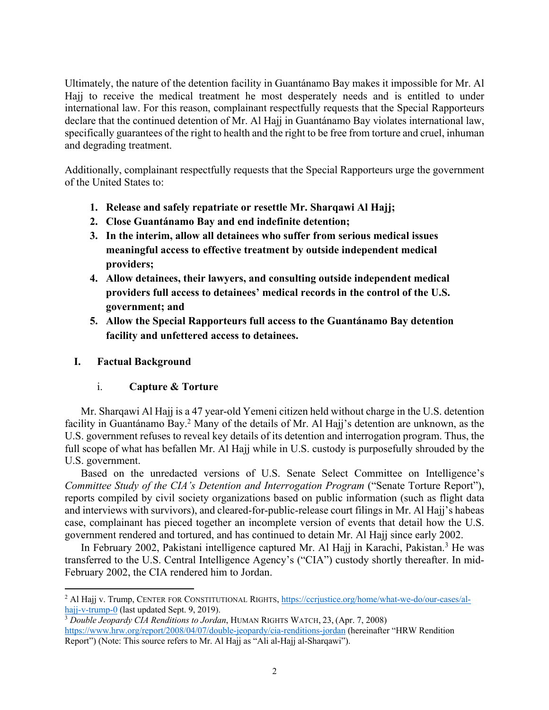Ultimately, the nature of the detention facility in Guantánamo Bay makes it impossible for Mr. Al Hajj to receive the medical treatment he most desperately needs and is entitled to under international law. For this reason, complainant respectfully requests that the Special Rapporteurs declare that the continued detention of Mr. Al Hajj in Guantánamo Bay violates international law, specifically guarantees of the right to health and the right to be free from torture and cruel, inhuman and degrading treatment.

Additionally, complainant respectfully requests that the Special Rapporteurs urge the government of the United States to:

- **1. Release and safely repatriate or resettle Mr. Sharqawi Al Hajj;**
- **2. Close Guantánamo Bay and end indefinite detention;**
- **3. In the interim, allow all detainees who suffer from serious medical issues meaningful access to effective treatment by outside independent medical providers;**
- **4. Allow detainees, their lawyers, and consulting outside independent medical providers full access to detainees' medical records in the control of the U.S. government; and**
- **5. Allow the Special Rapporteurs full access to the Guantánamo Bay detention facility and unfettered access to detainees.**

### **I. Factual Background**

### i. **Capture & Torture**

Mr. Sharqawi Al Hajj is a 47 year-old Yemeni citizen held without charge in the U.S. detention facility in Guantánamo Bay.<sup>2</sup> Many of the details of Mr. Al Hajj's detention are unknown, as the U.S. government refuses to reveal key details of its detention and interrogation program. Thus, the full scope of what has befallen Mr. Al Hajj while in U.S. custody is purposefully shrouded by the U.S. government.

Based on the unredacted versions of U.S. Senate Select Committee on Intelligence's *Committee Study of the CIA's Detention and Interrogation Program ("Senate Torture Report"),* reports compiled by civil society organizations based on public information (such as flight data and interviews with survivors), and cleared-for-public-release court filings in Mr. Al Hajj's habeas case, complainant has pieced together an incomplete version of events that detail how the U.S. government rendered and tortured, and has continued to detain Mr. Al Hajj since early 2002.

In February 2002, Pakistani intelligence captured Mr. Al Hajj in Karachi, Pakistan.<sup>3</sup> He was transferred to the U.S. Central Intelligence Agency's ("CIA") custody shortly thereafter. In mid-February 2002, the CIA rendered him to Jordan.

<sup>2</sup> Al Hajj v. Trump, CENTER FOR CONSTITUTIONAL RIGHTS, https://ccrjustice.org/home/what-we-do/our-cases/alhajj-v-trump-0 (last updated Sept. 9, 2019).

<sup>3</sup> *Double Jeopardy CIA Renditions to Jordan*, HUMAN RIGHTS WATCH, 23, (Apr. 7, 2008) https://www.hrw.org/report/2008/04/07/double-jeopardy/cia-renditions-jordan (hereinafter "HRW Rendition Report") (Note: This source refers to Mr. Al Hajj as "Ali al-Hajj al-Sharqawi").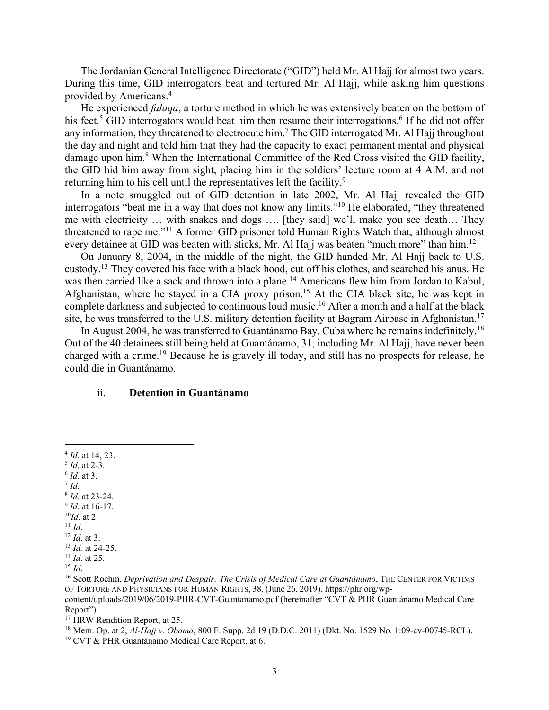The Jordanian General Intelligence Directorate ("GID") held Mr. Al Hajj for almost two years. During this time, GID interrogators beat and tortured Mr. Al Hajj, while asking him questions provided by Americans.4

He experienced *falaqa*, a torture method in which he was extensively beaten on the bottom of his feet.<sup>5</sup> GID interrogators would beat him then resume their interrogations.<sup>6</sup> If he did not offer any information, they threatened to electrocute him.7 The GID interrogated Mr. Al Hajj throughout the day and night and told him that they had the capacity to exact permanent mental and physical damage upon him.<sup>8</sup> When the International Committee of the Red Cross visited the GID facility, the GID hid him away from sight, placing him in the soldiers' lecture room at 4 A.M. and not returning him to his cell until the representatives left the facility.<sup>9</sup>

In a note smuggled out of GID detention in late 2002, Mr. Al Hajj revealed the GID interrogators "beat me in a way that does not know any limits."10 He elaborated, "they threatened me with electricity … with snakes and dogs …. [they said] we'll make you see death… They threatened to rape me."11 A former GID prisoner told Human Rights Watch that, although almost every detainee at GID was beaten with sticks, Mr. Al Hajj was beaten "much more" than him.<sup>12</sup>

On January 8, 2004, in the middle of the night, the GID handed Mr. Al Hajj back to U.S. custody.13 They covered his face with a black hood, cut off his clothes, and searched his anus. He was then carried like a sack and thrown into a plane.<sup>14</sup> Americans flew him from Jordan to Kabul, Afghanistan, where he stayed in a CIA proxy prison.15 At the CIA black site, he was kept in complete darkness and subjected to continuous loud music.16 After a month and a half at the black site, he was transferred to the U.S. military detention facility at Bagram Airbase in Afghanistan.<sup>17</sup>

In August 2004, he was transferred to Guantánamo Bay, Cuba where he remains indefinitely.<sup>18</sup> Out of the 40 detainees still being held at Guantánamo, 31, including Mr. Al Hajj, have never been charged with a crime. <sup>19</sup> Because he is gravely ill today, and still has no prospects for release, he could die in Guantánamo.

#### ii. **Detention in Guantánamo**

- 
- 
- 
- 
- 
- 
- 

<sup>&</sup>lt;sup>4</sup> Id. at 14, 23.<br>
<sup>5</sup> Id. at 2-3.<br>
<sup>7</sup> Id. at 3.<br>
<sup>7</sup> Id. at 3.<br>
<sup>9</sup> Id. at 16-17.<br>
<sup>10</sup>Id. at 16-17.<br>
<sup>11</sup> Id. at 24-25.<br>
<sup>14</sup> Id. at 24-25.<br>
<sup>14</sup> Id. at 24-25.<br>
<sup>14</sup> Id. at 25.<br>
<sup>14</sup> Id. at 25. OF TORTURE AND PHYSICIANS FOR HUMAN RIGHTS, 38, (June 26, 2019), https://phr.org/wp-

content/uploads/2019/06/2019-PHR-CVT-Guantanamo.pdf (hereinafter "CVT & PHR Guantánamo Medical Care Report").<br><sup>17</sup> HRW Rendition Report, at 25.<br><sup>18</sup> Mem. Op. at 2, *Al-Hajj v. Obama*, 800 F. Supp. 2d 19 (D.D.C. 2011) (Dkt. No. 1529 No. 1:09-cv-00745-RCL).

<sup>19</sup> CVT & PHR Guantánamo Medical Care Report, at 6.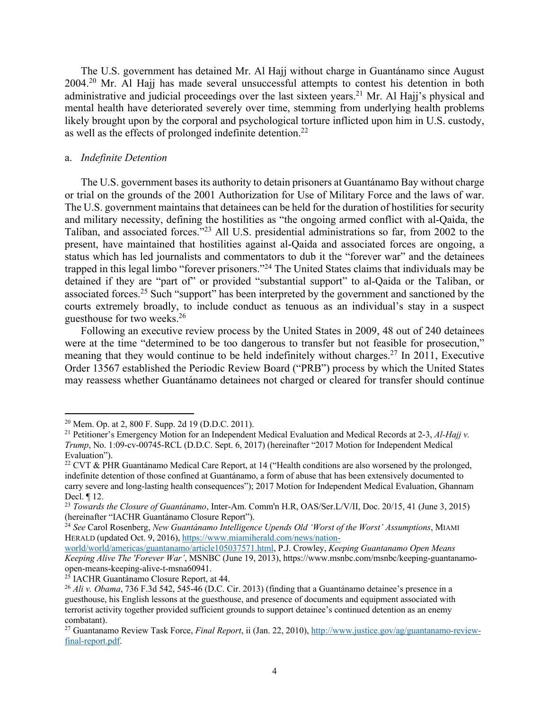The U.S. government has detained Mr. Al Hajj without charge in Guantánamo since August 2004.<sup>20</sup> Mr. Al Hajj has made several unsuccessful attempts to contest his detention in both administrative and judicial proceedings over the last sixteen years.<sup>21</sup> Mr. Al Hajj's physical and mental health have deteriorated severely over time, stemming from underlying health problems likely brought upon by the corporal and psychological torture inflicted upon him in U.S. custody, as well as the effects of prolonged indefinite detention.<sup>22</sup>

#### a. *Indefinite Detention*

The U.S. government bases its authority to detain prisoners at Guantánamo Bay without charge or trial on the grounds of the 2001 Authorization for Use of Military Force and the laws of war. The U.S. government maintains that detainees can be held for the duration of hostilities for security and military necessity, defining the hostilities as "the ongoing armed conflict with al-Qaida, the Taliban, and associated forces."23 All U.S. presidential administrations so far, from 2002 to the present, have maintained that hostilities against al-Qaida and associated forces are ongoing, a status which has led journalists and commentators to dub it the "forever war" and the detainees trapped in this legal limbo "forever prisoners."24 The United States claims that individuals may be detained if they are "part of" or provided "substantial support" to al-Qaida or the Taliban, or associated forces.<sup>25</sup> Such "support" has been interpreted by the government and sanctioned by the courts extremely broadly, to include conduct as tenuous as an individual's stay in a suspect guesthouse for two weeks.26

Following an executive review process by the United States in 2009, 48 out of 240 detainees were at the time "determined to be too dangerous to transfer but not feasible for prosecution," meaning that they would continue to be held indefinitely without charges.<sup>27</sup> In 2011, Executive Order 13567 established the Periodic Review Board ("PRB") process by which the United States may reassess whether Guantánamo detainees not charged or cleared for transfer should continue

<sup>20</sup> Mem. Op. at 2, 800 F. Supp. 2d 19 (D.D.C. 2011).

<sup>21</sup> Petitioner's Emergency Motion for an Independent Medical Evaluation and Medical Records at 2-3, *Al-Hajj v. Trump*, No. 1:09-cv-00745-RCL (D.D.C. Sept. 6, 2017) (hereinafter "2017 Motion for Independent Medical Evaluation").

<sup>&</sup>lt;sup>22</sup> CVT & PHR Guantánamo Medical Care Report, at 14 ("Health conditions are also worsened by the prolonged, indefinite detention of those confined at Guantánamo, a form of abuse that has been extensively documented to carry severe and long-lasting health consequences"); 2017 Motion for Independent Medical Evaluation, Ghannam Decl. ¶ 12.

<sup>23</sup> *Towards the Closure of Guantánamo*, Inter-Am. Comm'n H.R, OAS/Ser.L/V/II, Doc. 20/15, 41 (June 3, 2015) (hereinafter "IACHR Guantánamo Closure Report").

<sup>24</sup> *See* Carol Rosenberg, *New Guantánamo Intelligence Upends Old 'Worst of the Worst' Assumptions*, MIAMI HERALD (updated Oct. 9, 2016), https://www.miamiherald.com/news/nation-

world/world/americas/guantanamo/article105037571.html, P.J. Crowley, *Keeping Guantanamo Open Means Keeping Alive The 'Forever War'*, MSNBC (June 19, 2013), https://www.msnbc.com/msnbc/keeping-guantanamoopen-means-keeping-alive-t-msna60941.

<sup>&</sup>lt;sup>25</sup> IACHR Guantánamo Closure Report, at 44.<br><sup>26</sup> *Ali v. Obama*, 736 F.3d 542, 545-46 (D.C. Cir. 2013) (finding that a Guantánamo detainee's presence in a guesthouse, his English lessons at the guesthouse, and presence of documents and equipment associated with terrorist activity together provided sufficient grounds to support detainee's continued detention as an enemy combatant).

<sup>&</sup>lt;sup>27</sup> Guantanamo Review Task Force, *Final Report*, ii (Jan. 22, 2010), http://www.justice.gov/ag/guantanamo-reviewfinal-report.pdf.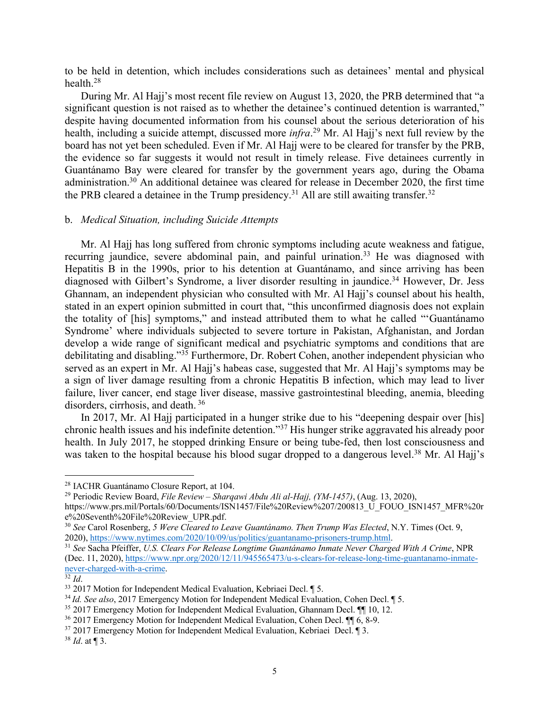to be held in detention, which includes considerations such as detainees' mental and physical health.28

During Mr. Al Hajj's most recent file review on August 13, 2020, the PRB determined that "a significant question is not raised as to whether the detainee's continued detention is warranted," despite having documented information from his counsel about the serious deterioration of his health, including a suicide attempt, discussed more *infra*. <sup>29</sup> Mr. Al Hajj's next full review by the board has not yet been scheduled. Even if Mr. Al Hajj were to be cleared for transfer by the PRB, the evidence so far suggests it would not result in timely release. Five detainees currently in Guantánamo Bay were cleared for transfer by the government years ago, during the Obama administration.<sup>30</sup> An additional detainee was cleared for release in December 2020, the first time the PRB cleared a detainee in the Trump presidency.<sup>31</sup> All are still awaiting transfer.<sup>32</sup>

#### b. *Medical Situation, including Suicide Attempts*

Mr. Al Hajj has long suffered from chronic symptoms including acute weakness and fatigue, recurring jaundice, severe abdominal pain, and painful urination.<sup>33</sup> He was diagnosed with Hepatitis B in the 1990s, prior to his detention at Guantánamo, and since arriving has been diagnosed with Gilbert's Syndrome, a liver disorder resulting in jaundice. <sup>34</sup> However, Dr. Jess Ghannam, an independent physician who consulted with Mr. Al Hajj's counsel about his health, stated in an expert opinion submitted in court that, "this unconfirmed diagnosis does not explain the totality of [his] symptoms," and instead attributed them to what he called "'Guantánamo Syndrome' where individuals subjected to severe torture in Pakistan, Afghanistan, and Jordan develop a wide range of significant medical and psychiatric symptoms and conditions that are debilitating and disabling."35 Furthermore, Dr. Robert Cohen, another independent physician who served as an expert in Mr. Al Hajj's habeas case, suggested that Mr. Al Hajj's symptoms may be a sign of liver damage resulting from a chronic Hepatitis B infection, which may lead to liver failure, liver cancer, end stage liver disease, massive gastrointestinal bleeding, anemia, bleeding disorders, cirrhosis, and death. <sup>36</sup>

In 2017, Mr. Al Hajj participated in a hunger strike due to his "deepening despair over [his] chronic health issues and his indefinite detention."37 His hunger strike aggravated his already poor health. In July 2017, he stopped drinking Ensure or being tube-fed, then lost consciousness and was taken to the hospital because his blood sugar dropped to a dangerous level.<sup>38</sup> Mr. Al Hajj's

<sup>28</sup> IACHR Guantánamo Closure Report, at 104.

<sup>29</sup> Periodic Review Board, *File Review – Sharqawi Abdu Ali al-Hajj, (YM-1457)*, (Aug. 13, 2020), https://www.prs.mil/Portals/60/Documents/ISN1457/File%20Review%207/200813\_U\_FOUO\_ISN1457\_MFR%20r e%20Seventh%20File%20Review\_UPR.pdf.

<sup>30</sup> *See* Carol Rosenberg, *5 Were Cleared to Leave Guantánamo. Then Trump Was Elected*, N.Y. Times (Oct. 9, 2020), https://www.nytimes.com/2020/10/09/us/politics/guantanamo-prisoners-trump.html.

<sup>31</sup> *See* Sacha Pfeiffer, *U.S. Clears For Release Longtime Guantánamo Inmate Never Charged With A Crime*, NPR (Dec. 11, 2020), https://www.npr.org/2020/12/11/945565473/u-s-clears-for-release-long-time-guantanamo-inmatenever-charged-with-a-crime.

 $32$  *Id.* 

<sup>33</sup> 2017 Motion for Independent Medical Evaluation, Kebriaei Decl. ¶ 5.

<sup>34</sup> *Id. See also*, 2017 Emergency Motion for Independent Medical Evaluation, Cohen Decl. ¶ 5.

<sup>35</sup> 2017 Emergency Motion for Independent Medical Evaluation, Ghannam Decl. ¶¶ 10, 12.

<sup>36</sup> 2017 Emergency Motion for Independent Medical Evaluation, Cohen Decl. ¶¶ 6, 8-9.

<sup>37</sup> 2017 Emergency Motion for Independent Medical Evaluation, Kebriaei Decl. ¶ 3.

<sup>38</sup> *Id*. at ¶ 3.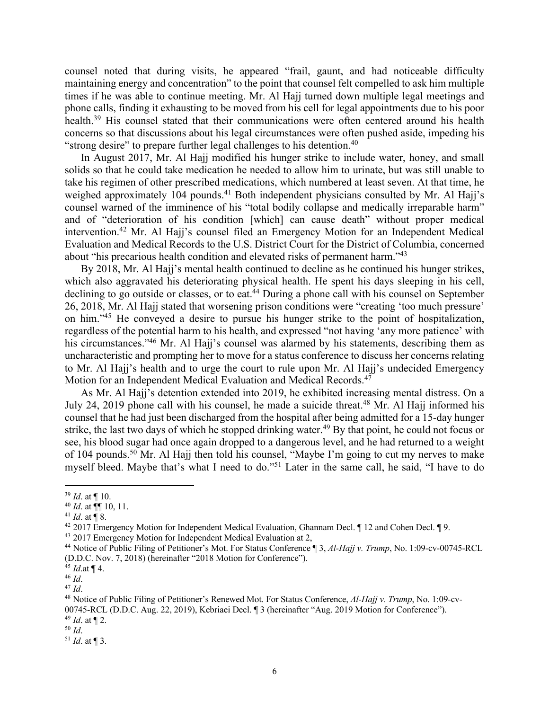counsel noted that during visits, he appeared "frail, gaunt, and had noticeable difficulty maintaining energy and concentration" to the point that counsel felt compelled to ask him multiple times if he was able to continue meeting. Mr. Al Hajj turned down multiple legal meetings and phone calls, finding it exhausting to be moved from his cell for legal appointments due to his poor health.<sup>39</sup> His counsel stated that their communications were often centered around his health concerns so that discussions about his legal circumstances were often pushed aside, impeding his "strong desire" to prepare further legal challenges to his detention.40

In August 2017, Mr. Al Hajj modified his hunger strike to include water, honey, and small solids so that he could take medication he needed to allow him to urinate, but was still unable to take his regimen of other prescribed medications, which numbered at least seven. At that time, he weighed approximately 104 pounds.<sup>41</sup> Both independent physicians consulted by Mr. Al Hajj's counsel warned of the imminence of his "total bodily collapse and medically irreparable harm" and of "deterioration of his condition [which] can cause death" without proper medical intervention.42 Mr. Al Hajj's counsel filed an Emergency Motion for an Independent Medical Evaluation and Medical Records to the U.S. District Court for the District of Columbia, concerned about "his precarious health condition and elevated risks of permanent harm."43

By 2018, Mr. Al Hajj's mental health continued to decline as he continued his hunger strikes, which also aggravated his deteriorating physical health. He spent his days sleeping in his cell, declining to go outside or classes, or to eat.<sup>44</sup> During a phone call with his counsel on September 26, 2018, Mr. Al Hajj stated that worsening prison conditions were "creating 'too much pressure' on him."45 He conveyed a desire to pursue his hunger strike to the point of hospitalization, regardless of the potential harm to his health, and expressed "not having 'any more patience' with his circumstances."<sup>46</sup> Mr. Al Hajj's counsel was alarmed by his statements, describing them as uncharacteristic and prompting her to move for a status conference to discuss her concerns relating to Mr. Al Hajj's health and to urge the court to rule upon Mr. Al Hajj's undecided Emergency Motion for an Independent Medical Evaluation and Medical Records.47

As Mr. Al Hajj's detention extended into 2019, he exhibited increasing mental distress. On a July 24, 2019 phone call with his counsel, he made a suicide threat.<sup>48</sup> Mr. Al Hajj informed his counsel that he had just been discharged from the hospital after being admitted for a 15-day hunger strike, the last two days of which he stopped drinking water.<sup>49</sup> By that point, he could not focus or see, his blood sugar had once again dropped to a dangerous level, and he had returned to a weight of 104 pounds.<sup>50</sup> Mr. Al Hajj then told his counsel, "Maybe I'm going to cut my nerves to make myself bleed. Maybe that's what I need to do."51 Later in the same call, he said, "I have to do

<sup>39</sup> *Id*. at ¶ 10.

<sup>40</sup> *Id*. at ¶¶ 10, 11.

<sup>&</sup>lt;sup>41</sup> *Id.* at  $\P$  8.

<sup>42</sup> 2017 Emergency Motion for Independent Medical Evaluation, Ghannam Decl. ¶ 12 and Cohen Decl. ¶ 9.

<sup>&</sup>lt;sup>43</sup> 2017 Emergency Motion for Independent Medical Evaluation at 2,

<sup>44</sup> Notice of Public Filing of Petitioner's Mot. For Status Conference ¶ 3, *Al-Hajj v. Trump*, No. 1:09-cv-00745-RCL (D.D.C. Nov. 7, 2018) (hereinafter "2018 Motion for Conference").

<sup>45</sup> *Id*.at ¶ 4. 46 *Id*.

<sup>47</sup> *Id*.

<sup>48</sup> Notice of Public Filing of Petitioner's Renewed Mot. For Status Conference, *Al-Hajj v. Trump*, No. 1:09-cv-00745-RCL (D.D.C. Aug. 22, 2019), Kebriaei Decl. ¶ 3 (hereinafter "Aug. 2019 Motion for Conference"). <sup>49</sup> *Id*. at ¶ 2.

<sup>50</sup> *Id*.

 $51$  *Id.* at ¶ 3.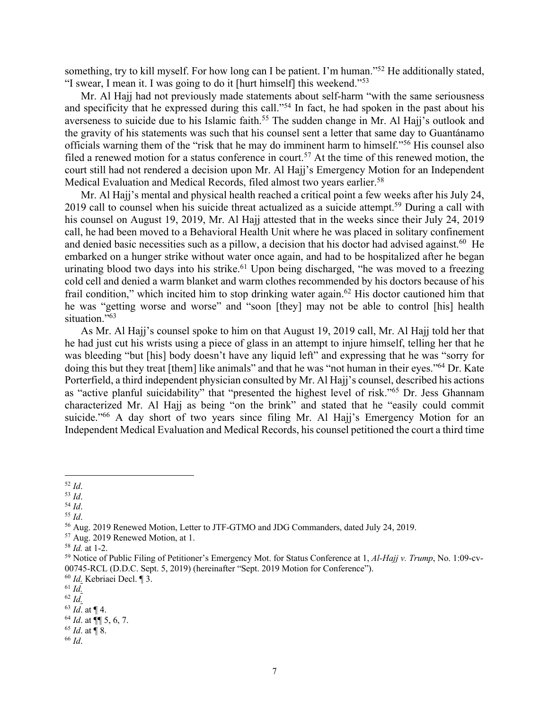something, try to kill myself. For how long can I be patient. I'm human."<sup>52</sup> He additionally stated, "I swear, I mean it. I was going to do it [hurt himself] this weekend."53

Mr. Al Hajj had not previously made statements about self-harm "with the same seriousness and specificity that he expressed during this call."<sup>54</sup> In fact, he had spoken in the past about his averseness to suicide due to his Islamic faith.<sup>55</sup> The sudden change in Mr. Al Hajj's outlook and the gravity of his statements was such that his counsel sent a letter that same day to Guantánamo officials warning them of the "risk that he may do imminent harm to himself."56 His counsel also filed a renewed motion for a status conference in court.<sup>57</sup> At the time of this renewed motion, the court still had not rendered a decision upon Mr. Al Hajj's Emergency Motion for an Independent Medical Evaluation and Medical Records, filed almost two years earlier.<sup>58</sup>

Mr. Al Hajj's mental and physical health reached a critical point a few weeks after his July 24, 2019 call to counsel when his suicide threat actualized as a suicide attempt.<sup>59</sup> During a call with his counsel on August 19, 2019, Mr. Al Hajj attested that in the weeks since their July 24, 2019 call, he had been moved to a Behavioral Health Unit where he was placed in solitary confinement and denied basic necessities such as a pillow, a decision that his doctor had advised against.<sup>60</sup> He embarked on a hunger strike without water once again, and had to be hospitalized after he began urinating blood two days into his strike.<sup>61</sup> Upon being discharged, "he was moved to a freezing cold cell and denied a warm blanket and warm clothes recommended by his doctors because of his frail condition," which incited him to stop drinking water again.<sup>62</sup> His doctor cautioned him that he was "getting worse and worse" and "soon [they] may not be able to control [his] health situation."<sup>63</sup>

As Mr. Al Hajj's counsel spoke to him on that August 19, 2019 call, Mr. Al Hajj told her that he had just cut his wrists using a piece of glass in an attempt to injure himself, telling her that he was bleeding "but [his] body doesn't have any liquid left" and expressing that he was "sorry for doing this but they treat [them] like animals" and that he was "not human in their eyes."<sup>64</sup> Dr. Kate Porterfield, a third independent physician consulted by Mr. Al Hajj's counsel, described his actions as "active planful suicidability" that "presented the highest level of risk."65 Dr. Jess Ghannam characterized Mr. Al Hajj as being "on the brink" and stated that he "easily could commit suicide."<sup>66</sup> A day short of two years since filing Mr. Al Hajj's Emergency Motion for an Independent Medical Evaluation and Medical Records, his counsel petitioned the court a third time

<sup>55</sup> *Id*.

<sup>66</sup> *Id*.

<sup>52</sup> *Id*.

<sup>53</sup> *Id*.

<sup>54</sup> *Id*.

<sup>56</sup> Aug. 2019 Renewed Motion, Letter to JTF-GTMO and JDG Commanders, dated July 24, 2019.

<sup>&</sup>lt;sup>57</sup> Aug. 2019 Renewed Motion, at 1.<br><sup>58</sup> *Id.* at 1-2.<br><sup>59</sup> Notice of Public Filing of Petitioner's Emergency Mot. for Status Conference at 1, *Al-Hajj v. Trump*, No. 1:09-cv-00745-RCL (D.D.C. Sept. 5, 2019) (hereinafter "Sept. 2019 Motion for Conference").

<sup>60</sup> *Id.* Kebriaei Decl. ¶ 3.

<sup>61</sup> *Id.*

<sup>62</sup> *Id.*

<sup>63</sup> *Id*. at ¶ 4.

<sup>64</sup> *Id*. at ¶¶ 5, 6, 7. <sup>65</sup> *Id*. at ¶ 8.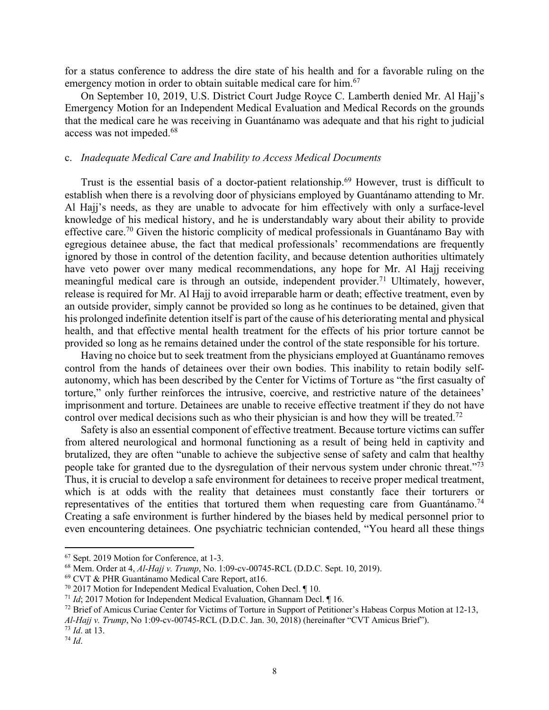for a status conference to address the dire state of his health and for a favorable ruling on the emergency motion in order to obtain suitable medical care for him.<sup>67</sup>

On September 10, 2019, U.S. District Court Judge Royce C. Lamberth denied Mr. Al Hajj's Emergency Motion for an Independent Medical Evaluation and Medical Records on the grounds that the medical care he was receiving in Guantánamo was adequate and that his right to judicial access was not impeded.68

#### c. *Inadequate Medical Care and Inability to Access Medical Documents*

Trust is the essential basis of a doctor-patient relationship.69 However, trust is difficult to establish when there is a revolving door of physicians employed by Guantánamo attending to Mr. Al Hajj's needs, as they are unable to advocate for him effectively with only a surface-level knowledge of his medical history, and he is understandably wary about their ability to provide effective care.<sup>70</sup> Given the historic complicity of medical professionals in Guantánamo Bay with egregious detainee abuse, the fact that medical professionals' recommendations are frequently ignored by those in control of the detention facility, and because detention authorities ultimately have veto power over many medical recommendations, any hope for Mr. Al Hajj receiving meaningful medical care is through an outside, independent provider.<sup>71</sup> Ultimately, however, release is required for Mr. Al Hajj to avoid irreparable harm or death; effective treatment, even by an outside provider, simply cannot be provided so long as he continues to be detained, given that his prolonged indefinite detention itself is part of the cause of his deteriorating mental and physical health, and that effective mental health treatment for the effects of his prior torture cannot be provided so long as he remains detained under the control of the state responsible for his torture.

Having no choice but to seek treatment from the physicians employed at Guantánamo removes control from the hands of detainees over their own bodies. This inability to retain bodily selfautonomy, which has been described by the Center for Victims of Torture as "the first casualty of torture," only further reinforces the intrusive, coercive, and restrictive nature of the detainees' imprisonment and torture. Detainees are unable to receive effective treatment if they do not have control over medical decisions such as who their physician is and how they will be treated.<sup>72</sup>

Safety is also an essential component of effective treatment. Because torture victims can suffer from altered neurological and hormonal functioning as a result of being held in captivity and brutalized, they are often "unable to achieve the subjective sense of safety and calm that healthy people take for granted due to the dysregulation of their nervous system under chronic threat."73 Thus, it is crucial to develop a safe environment for detainees to receive proper medical treatment, which is at odds with the reality that detainees must constantly face their torturers or representatives of the entities that tortured them when requesting care from Guantánamo.<sup>74</sup> Creating a safe environment is further hindered by the biases held by medical personnel prior to even encountering detainees. One psychiatric technician contended, "You heard all these things

*Al-Hajj v. Trump*, No 1:09-cv-00745-RCL (D.D.C. Jan. 30, 2018) (hereinafter "CVT Amicus Brief").

<sup>&</sup>lt;sup>67</sup> Sept. 2019 Motion for Conference, at 1-3.<br><sup>68</sup> Mem. Order at 4, *Al-Hajj v. Trump*, No. 1:09-cv-00745-RCL (D.D.C. Sept. 10, 2019).

<sup>69</sup> CVT & PHR Guantánamo Medical Care Report, at16.

<sup>70</sup> 2017 Motion for Independent Medical Evaluation, Cohen Decl. ¶ 10.

<sup>71</sup> *Id*; 2017 Motion for Independent Medical Evaluation, Ghannam Decl. ¶ 16.

<sup>&</sup>lt;sup>72</sup> Brief of Amicus Curiae Center for Victims of Torture in Support of Petitioner's Habeas Corpus Motion at 12-13,

<sup>73</sup> *Id*. at 13.

<sup>74</sup> *Id*.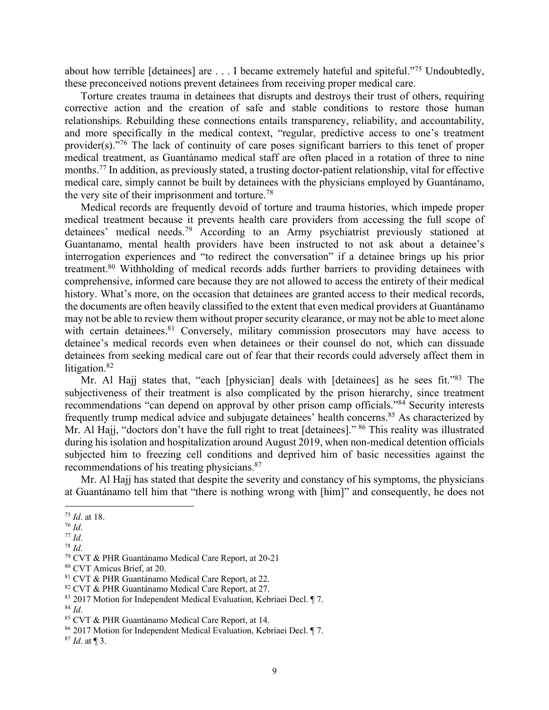about how terrible [detainees] are . . . I became extremely hateful and spiteful."75 Undoubtedly, these preconceived notions prevent detainees from receiving proper medical care.

Torture creates trauma in detainees that disrupts and destroys their trust of others, requiring corrective action and the creation of safe and stable conditions to restore those human relationships. Rebuilding these connections entails transparency, reliability, and accountability, and more specifically in the medical context, "regular, predictive access to one's treatment provider(s)."76 The lack of continuity of care poses significant barriers to this tenet of proper medical treatment, as Guantánamo medical staff are often placed in a rotation of three to nine months.77 In addition, as previously stated, a trusting doctor-patient relationship, vital for effective medical care, simply cannot be built by detainees with the physicians employed by Guantánamo, the very site of their imprisonment and torture.<sup>78</sup>

Medical records are frequently devoid of torture and trauma histories, which impede proper medical treatment because it prevents health care providers from accessing the full scope of detainees' medical needs.79 According to an Army psychiatrist previously stationed at Guantanamo, mental health providers have been instructed to not ask about a detainee's interrogation experiences and "to redirect the conversation" if a detainee brings up his prior treatment.80 Withholding of medical records adds further barriers to providing detainees with comprehensive, informed care because they are not allowed to access the entirety of their medical history. What's more, on the occasion that detainees are granted access to their medical records, the documents are often heavily classified to the extent that even medical providers at Guantánamo may not be able to review them without proper security clearance, or may not be able to meet alone with certain detainees. $81$  Conversely, military commission prosecutors may have access to detainee's medical records even when detainees or their counsel do not, which can dissuade detainees from seeking medical care out of fear that their records could adversely affect them in litigation.<sup>82</sup>

Mr. Al Hajj states that, "each [physician] deals with [detainees] as he sees fit."<sup>83</sup> The subjectiveness of their treatment is also complicated by the prison hierarchy, since treatment recommendations "can depend on approval by other prison camp officials."84 Security interests frequently trump medical advice and subjugate detainees' health concerns.<sup>85</sup> As characterized by Mr. Al Hajj, "doctors don't have the full right to treat [detainees]." <sup>86</sup> This reality was illustrated during his isolation and hospitalization around August 2019, when non-medical detention officials subjected him to freezing cell conditions and deprived him of basic necessities against the recommendations of his treating physicians.<sup>87</sup>

Mr. Al Hajj has stated that despite the severity and constancy of his symptoms, the physicians at Guantánamo tell him that "there is nothing wrong with [him]" and consequently, he does not

<sup>75</sup> *Id*. at 18. 76 *Id*. 77 *Id*. 78 *Id*.

<sup>79</sup> CVT & PHR Guantánamo Medical Care Report, at 20-21

<sup>80</sup> CVT Amicus Brief, at 20.<br>81 CVT & PHR Guantánamo Medical Care Report, at 22.<br>82 CVT & PHR Guantánamo Medical Care Report, at 27.

<sup>83</sup> 2017 Motion for Independent Medical Evaluation, Kebriaei Decl. ¶ 7.

<sup>&</sup>lt;sup>84</sup> *Id.* 85 CVT & PHR Guantánamo Medical Care Report, at 14.

<sup>86</sup> 2017 Motion for Independent Medical Evaluation, Kebriaei Decl. ¶ 7.

<sup>87</sup> *Id*. at ¶ 3.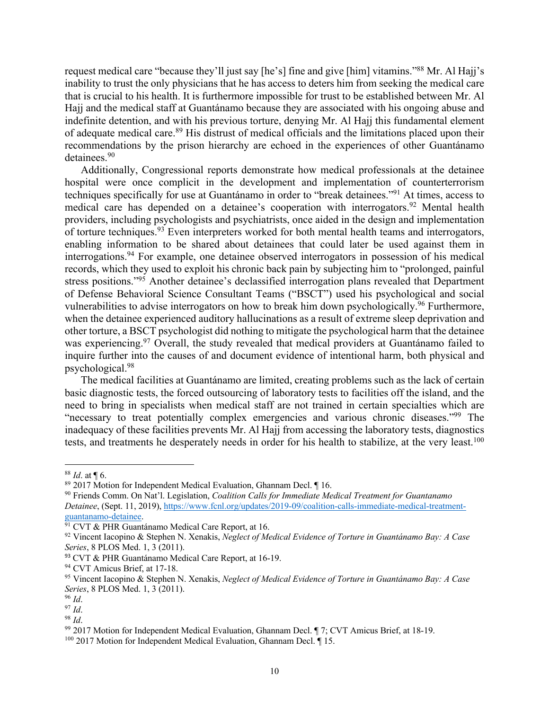request medical care "because they'll just say [he's] fine and give [him] vitamins."88 Mr. Al Hajj's inability to trust the only physicians that he has access to deters him from seeking the medical care that is crucial to his health. It is furthermore impossible for trust to be established between Mr. Al Hajj and the medical staff at Guantánamo because they are associated with his ongoing abuse and indefinite detention, and with his previous torture, denying Mr. Al Hajj this fundamental element of adequate medical care.<sup>89</sup> His distrust of medical officials and the limitations placed upon their recommendations by the prison hierarchy are echoed in the experiences of other Guantánamo detainees.<sup>90</sup>

Additionally, Congressional reports demonstrate how medical professionals at the detainee hospital were once complicit in the development and implementation of counterterrorism techniques specifically for use at Guantánamo in order to "break detainees."91 At times, access to medical care has depended on a detainee's cooperation with interrogators.<sup>92</sup> Mental health providers, including psychologists and psychiatrists, once aided in the design and implementation of torture techniques.<sup>93</sup> Even interpreters worked for both mental health teams and interrogators, enabling information to be shared about detainees that could later be used against them in interrogations. <sup>94</sup> For example, one detainee observed interrogators in possession of his medical records, which they used to exploit his chronic back pain by subjecting him to "prolonged, painful stress positions."95 Another detainee's declassified interrogation plans revealed that Department of Defense Behavioral Science Consultant Teams ("BSCT") used his psychological and social vulnerabilities to advise interrogators on how to break him down psychologically.<sup>96</sup> Furthermore, when the detainee experienced auditory hallucinations as a result of extreme sleep deprivation and other torture, a BSCT psychologist did nothing to mitigate the psychological harm that the detainee was experiencing.<sup>97</sup> Overall, the study revealed that medical providers at Guantánamo failed to inquire further into the causes of and document evidence of intentional harm, both physical and psychological.98

The medical facilities at Guantánamo are limited, creating problems such as the lack of certain basic diagnostic tests, the forced outsourcing of laboratory tests to facilities off the island, and the need to bring in specialists when medical staff are not trained in certain specialties which are "necessary to treat potentially complex emergencies and various chronic diseases."99 The inadequacy of these facilities prevents Mr. Al Hajj from accessing the laboratory tests, diagnostics tests, and treatments he desperately needs in order for his health to stabilize, at the very least.<sup>100</sup>

<sup>88</sup> *Id*. at ¶ 6.

<sup>89</sup> 2017 Motion for Independent Medical Evaluation, Ghannam Decl. ¶ 16.

<sup>90</sup> Friends Comm. On Nat'l. Legislation, *Coalition Calls for Immediate Medical Treatment for Guantanamo Detainee*, (Sept. 11, 2019), https://www.fcnl.org/updates/2019-09/coalition-calls-immediate-medical-treatmentguantanamo-detainee. 91 CVT & PHR Guantánamo Medical Care Report, at 16.

<sup>92</sup> Vincent Iacopino & Stephen N. Xenakis, *Neglect of Medical Evidence of Torture in Guantánamo Bay: A Case Series*, 8 PLOS Med. 1, 3 (2011).<br><sup>93</sup> CVT & PHR Guantánamo Medical Care Report, at 16-19.

<sup>&</sup>lt;sup>94</sup> CVT Amicus Brief, at 17-18.<br><sup>95</sup> Vincent Iacopino & Stephen N. Xenakis, *Neglect of Medical Evidence of Torture in Guantánamo Bay: A Case Series*, 8 PLOS Med. 1, 3 (2011).

<sup>96</sup> *Id*. 97 *Id*.

<sup>98</sup> *Id*.

<sup>&</sup>lt;sup>99</sup> 2017 Motion for Independent Medical Evaluation, Ghannam Decl.  $\P$  7; CVT Amicus Brief, at 18-19.<br><sup>100</sup> 2017 Motion for Independent Medical Evaluation, Ghannam Decl.  $\P$  15.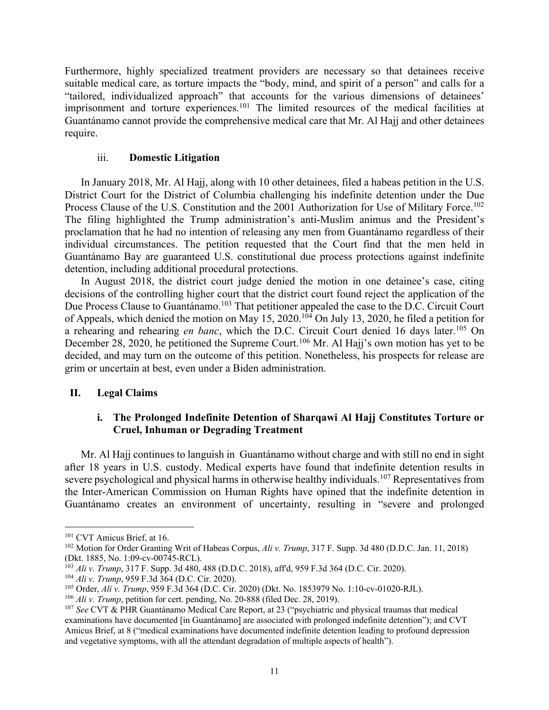Furthermore, highly specialized treatment providers are necessary so that detainees receive suitable medical care, as torture impacts the "body, mind, and spirit of a person" and calls for a "tailored, individualized approach" that accounts for the various dimensions of detainees' imprisonment and torture experiences.<sup>101</sup> The limited resources of the medical facilities at Guantánamo cannot provide the comprehensive medical care that Mr. Al Hajj and other detainees require.

### iii. **Domestic Litigation**

In January 2018, Mr. Al Hajj, along with 10 other detainees, filed a habeas petition in the U.S. District Court for the District of Columbia challenging his indefinite detention under the Due Process Clause of the U.S. Constitution and the 2001 Authorization for Use of Military Force.<sup>102</sup> The filing highlighted the Trump administration's anti-Muslim animus and the President's proclamation that he had no intention of releasing any men from Guantánamo regardless of their individual circumstances. The petition requested that the Court find that the men held in Guantánamo Bay are guaranteed U.S. constitutional due process protections against indefinite detention, including additional procedural protections.

In August 2018, the district court judge denied the motion in one detainee's case, citing decisions of the controlling higher court that the district court found reject the application of the Due Process Clause to Guantánamo.<sup>103</sup> That petitioner appealed the case to the D.C. Circuit Court of Appeals, which denied the motion on May 15, 2020.104 On July 13, 2020, he filed a petition for a rehearing and rehearing *en banc*, which the D.C. Circuit Court denied 16 days later.105 On December 28, 2020, he petitioned the Supreme Court.<sup>106</sup> Mr. Al Hajj's own motion has yet to be decided, and may turn on the outcome of this petition. Nonetheless, his prospects for release are grim or uncertain at best, even under a Biden administration.

### **II. Legal Claims**

## **i. The Prolonged Indefinite Detention of Sharqawi Al Hajj Constitutes Torture or Cruel, Inhuman or Degrading Treatment**

Mr. Al Hajj continues to languish in Guantánamo without charge and with still no end in sight after 18 years in U.S. custody. Medical experts have found that indefinite detention results in severe psychological and physical harms in otherwise healthy individuals.<sup>107</sup> Representatives from the Inter-American Commission on Human Rights have opined that the indefinite detention in Guantánamo creates an environment of uncertainty, resulting in "severe and prolonged

<sup>&</sup>lt;sup>101</sup> CVT Amicus Brief, at 16.

<sup>&</sup>lt;sup>102</sup> Motion for Order Granting Writ of Habeas Corpus, *Ali v. Trump*, 317 F. Supp. 3d 480 (D.D.C. Jan. 11, 2018)<br>(Dkt. 1885, No. 1:09-cv-00745-RCL).

<sup>&</sup>lt;sup>103</sup> Ali v. Trump, 317 F. Supp. 3d 480, 488 (D.D.C. 2018), aff'd, 959 F.3d 364 (D.C. Cir. 2020).

<sup>104</sup> *Ali v. Trump*, 959 F.3d 364 (D.C. Cir. 2020).

<sup>105</sup> Order, *Ali v. Trump*, 959 F.3d 364 (D.C. Cir. 2020) (Dkt. No. 1853979 No. 1:10-cv-01020-RJL).

<sup>&</sup>lt;sup>106</sup> *Ali v. Trump*, petition for cert. pending, No. 20-888 (filed Dec. 28, 2019).<br><sup>107</sup> *See* CVT & PHR Guantánamo Medical Care Report, at 23 ("psychiatric and physical traumas that medical examinations have documented [in Guantánamo] are associated with prolonged indefinite detention"); and CVT Amicus Brief, at 8 ("medical examinations have documented indefinite detention leading to profound depression and vegetative symptoms, with all the attendant degradation of multiple aspects of health").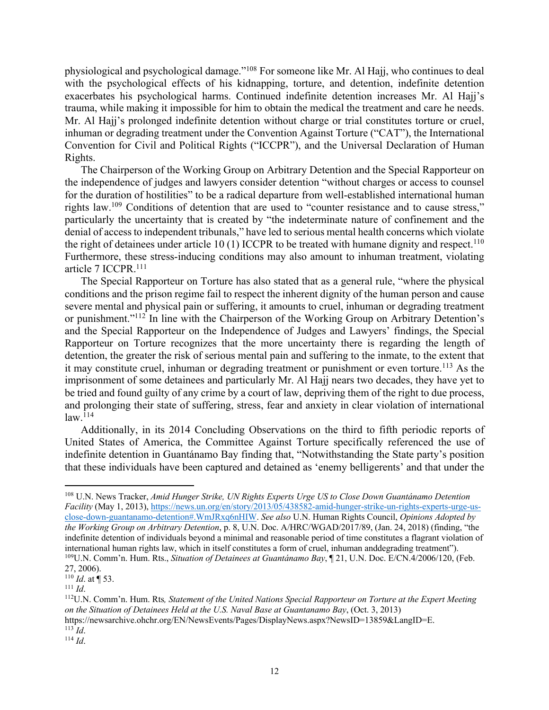physiological and psychological damage."108 For someone like Mr. Al Hajj, who continues to deal with the psychological effects of his kidnapping, torture, and detention, indefinite detention exacerbates his psychological harms. Continued indefinite detention increases Mr. Al Hajj's trauma, while making it impossible for him to obtain the medical the treatment and care he needs. Mr. Al Hajj's prolonged indefinite detention without charge or trial constitutes torture or cruel, inhuman or degrading treatment under the Convention Against Torture ("CAT"), the International Convention for Civil and Political Rights ("ICCPR"), and the Universal Declaration of Human Rights.

The Chairperson of the Working Group on Arbitrary Detention and the Special Rapporteur on the independence of judges and lawyers consider detention "without charges or access to counsel for the duration of hostilities" to be a radical departure from well-established international human rights law.109 Conditions of detention that are used to "counter resistance and to cause stress," particularly the uncertainty that is created by "the indeterminate nature of confinement and the denial of access to independent tribunals," have led to serious mental health concerns which violate the right of detainees under article 10 (1) ICCPR to be treated with humane dignity and respect.<sup>110</sup> Furthermore, these stress-inducing conditions may also amount to inhuman treatment, violating article 7 ICCPR.111

The Special Rapporteur on Torture has also stated that as a general rule, "where the physical conditions and the prison regime fail to respect the inherent dignity of the human person and cause severe mental and physical pain or suffering, it amounts to cruel, inhuman or degrading treatment or punishment."112 In line with the Chairperson of the Working Group on Arbitrary Detention's and the Special Rapporteur on the Independence of Judges and Lawyers' findings, the Special Rapporteur on Torture recognizes that the more uncertainty there is regarding the length of detention, the greater the risk of serious mental pain and suffering to the inmate, to the extent that it may constitute cruel, inhuman or degrading treatment or punishment or even torture.<sup>113</sup> As the imprisonment of some detainees and particularly Mr. Al Hajj nears two decades, they have yet to be tried and found guilty of any crime by a court of law, depriving them of the right to due process, and prolonging their state of suffering, stress, fear and anxiety in clear violation of international  $law.<sup>114</sup>$ 

Additionally, in its 2014 Concluding Observations on the third to fifth periodic reports of United States of America, the Committee Against Torture specifically referenced the use of indefinite detention in Guantánamo Bay finding that, "Notwithstanding the State party's position that these individuals have been captured and detained as 'enemy belligerents' and that under the

<sup>108</sup> U.N. News Tracker, *Amid Hunger Strike, UN Rights Experts Urge US to Close Down Guantánamo Detention Facility* (May 1, 2013), https://news.un.org/en/story/2013/05/438582-amid-hunger-strike-un-rights-experts-urge-usclose-down-guantanamo-detention#.WmJRxq6nHIW. *See also* U.N. Human Rights Council, *Opinions Adopted by the Working Group on Arbitrary Detention*, p. 8, U.N. Doc. A/HRC/WGAD/2017/89, (Jan. 24, 2018) (finding, "the indefinite detention of individuals beyond a minimal and reasonable period of time constitutes a flagrant violation of international human rights law, which in itself constitutes a form of cruel, inhuman anddegrading treatment"). 109U.N. Comm'n. Hum. Rts., *Situation of Detainees at Guantánamo Bay*, ¶ 21, U.N. Doc. E/CN.4/2006/120, (Feb. 27, 2006).

<sup>110</sup> *Id*. at ¶ 53.

<sup>111</sup> *Id*.

<sup>112</sup>U.N. Comm'n. Hum. Rts*, Statement of the United Nations Special Rapporteur on Torture at the Expert Meeting on the Situation of Detainees Held at the U.S. Naval Base at Guantanamo Bay*, (Oct. 3, 2013) https://newsarchive.ohchr.org/EN/NewsEvents/Pages/DisplayNews.aspx?NewsID=13859&LangID=E.<br><sup>113</sup> Id.

 $114$  *Id.*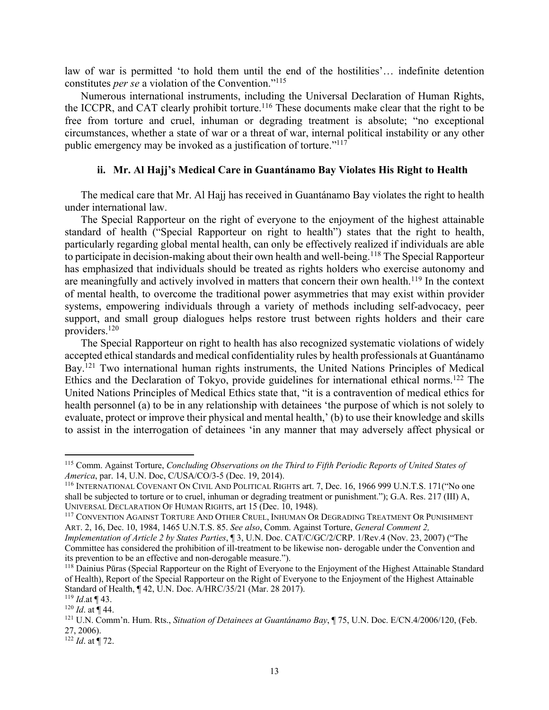law of war is permitted 'to hold them until the end of the hostilities'… indefinite detention constitutes *per se* a violation of the Convention."115

Numerous international instruments, including the Universal Declaration of Human Rights, the ICCPR, and CAT clearly prohibit torture.<sup>116</sup> These documents make clear that the right to be free from torture and cruel, inhuman or degrading treatment is absolute; "no exceptional circumstances, whether a state of war or a threat of war, internal political instability or any other public emergency may be invoked as a justification of torture."117

### **ii. Mr. Al Hajj's Medical Care in Guantánamo Bay Violates His Right to Health**

The medical care that Mr. Al Hajj has received in Guantánamo Bay violates the right to health under international law.

The Special Rapporteur on the right of everyone to the enjoyment of the highest attainable standard of health ("Special Rapporteur on right to health") states that the right to health, particularly regarding global mental health, can only be effectively realized if individuals are able to participate in decision-making about their own health and well-being.<sup>118</sup> The Special Rapporteur has emphasized that individuals should be treated as rights holders who exercise autonomy and are meaningfully and actively involved in matters that concern their own health.<sup>119</sup> In the context of mental health, to overcome the traditional power asymmetries that may exist within provider systems, empowering individuals through a variety of methods including self-advocacy, peer support, and small group dialogues helps restore trust between rights holders and their care providers.120

The Special Rapporteur on right to health has also recognized systematic violations of widely accepted ethical standards and medical confidentiality rules by health professionals at Guantánamo Bay.<sup>121</sup> Two international human rights instruments, the United Nations Principles of Medical Ethics and the Declaration of Tokyo, provide guidelines for international ethical norms.122 The United Nations Principles of Medical Ethics state that, "it is a contravention of medical ethics for health personnel (a) to be in any relationship with detainees 'the purpose of which is not solely to evaluate, protect or improve their physical and mental health,' (b) to use their knowledge and skills to assist in the interrogation of detainees 'in any manner that may adversely affect physical or

<sup>115</sup> Comm. Against Torture, *Concluding Observations on the Third to Fifth Periodic Reports of United States of America*, par. 14, U.N. Doc, C/USA/CO/3-5 (Dec. 19, 2014).<br><sup>116</sup> INTERNATIONAL COVENANT ON CIVIL AND POLITICAL RIGHTS art. 7, Dec. 16, 1966 999 U.N.T.S. 171("No one

shall be subjected to torture or to cruel, inhuman or degrading treatment or punishment."); G.A. Res. 217 (III) A, UNIVERSAL DECLARATION OF HUMAN RIGHTS, art 15 (Dec. 10, 1948).<br><sup>117</sup> CONVENTION AGAINST TORTURE AND OTHER CRUEL, INHUMAN OR DEGRADING TREATMENT OR PUNISHMENT

ART. 2, 16, Dec. 10, 1984, 1465 U.N.T.S. 85. *See also*, Comm. Against Torture, *General Comment 2,* 

*Implementation of Article 2 by States Parties*, ¶ 3, U.N. Doc. CAT/C/GC/2/CRP. 1/Rev.4 (Nov. 23, 2007) ("The Committee has considered the prohibition of ill-treatment to be likewise non- derogable under the Convention and its prevention to be an effective and non-derogable measure.").<br><sup>118</sup> Dainius Pūras (Special Rapporteur on the Right of Everyone to the Enjoyment of the Highest Attainable Standard

of Health), Report of the Special Rapporteur on the Right of Everyone to the Enjoyment of the Highest Attainable Standard of Health, ¶ 42, U.N. Doc. A/HRC/35/21 (Mar. 28 2017). 119 *Id*.at ¶ 43.

<sup>120</sup> *Id*. at ¶ 44.

<sup>121</sup> U.N. Comm'n. Hum. Rts., *Situation of Detainees at Guantánamo Bay*, ¶ 75, U.N. Doc. E/CN.4/2006/120, (Feb. 27, 2006).

<sup>122</sup> *Id*. at ¶ 72.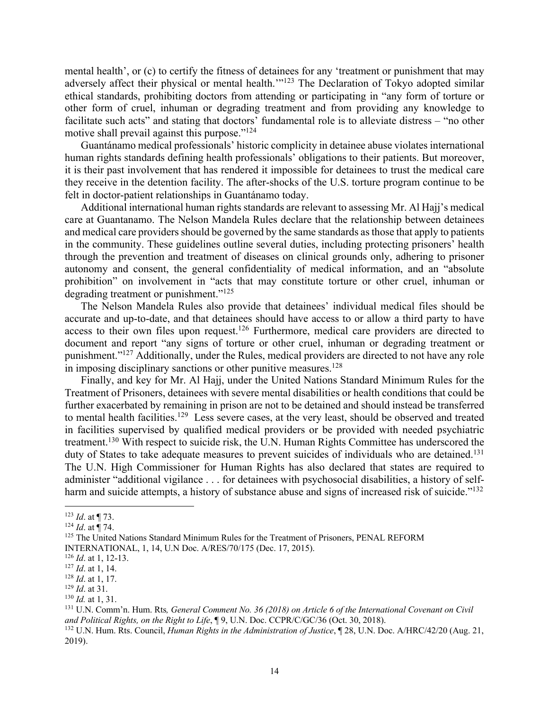mental health', or (c) to certify the fitness of detainees for any 'treatment or punishment that may adversely affect their physical or mental health."<sup>123</sup> The Declaration of Tokyo adopted similar ethical standards, prohibiting doctors from attending or participating in "any form of torture or other form of cruel, inhuman or degrading treatment and from providing any knowledge to facilitate such acts" and stating that doctors' fundamental role is to alleviate distress – "no other motive shall prevail against this purpose."<sup>124</sup>

Guantánamo medical professionals' historic complicity in detainee abuse violates international human rights standards defining health professionals' obligations to their patients. But moreover, it is their past involvement that has rendered it impossible for detainees to trust the medical care they receive in the detention facility. The after-shocks of the U.S. torture program continue to be felt in doctor-patient relationships in Guantánamo today.

Additional international human rights standards are relevant to assessing Mr. Al Hajj's medical care at Guantanamo. The Nelson Mandela Rules declare that the relationship between detainees and medical care providers should be governed by the same standards as those that apply to patients in the community. These guidelines outline several duties, including protecting prisoners' health through the prevention and treatment of diseases on clinical grounds only, adhering to prisoner autonomy and consent, the general confidentiality of medical information, and an "absolute prohibition" on involvement in "acts that may constitute torture or other cruel, inhuman or degrading treatment or punishment."<sup>125</sup>

The Nelson Mandela Rules also provide that detainees' individual medical files should be accurate and up-to-date, and that detainees should have access to or allow a third party to have access to their own files upon request.<sup>126</sup> Furthermore, medical care providers are directed to document and report "any signs of torture or other cruel, inhuman or degrading treatment or punishment."127 Additionally, under the Rules, medical providers are directed to not have any role in imposing disciplinary sanctions or other punitive measures.<sup>128</sup>

Finally, and key for Mr. Al Hajj, under the United Nations Standard Minimum Rules for the Treatment of Prisoners, detainees with severe mental disabilities or health conditions that could be further exacerbated by remaining in prison are not to be detained and should instead be transferred to mental health facilities.<sup>129</sup> Less severe cases, at the very least, should be observed and treated in facilities supervised by qualified medical providers or be provided with needed psychiatric treatment.130 With respect to suicide risk, the U.N. Human Rights Committee has underscored the duty of States to take adequate measures to prevent suicides of individuals who are detained.<sup>131</sup> The U.N. High Commissioner for Human Rights has also declared that states are required to administer "additional vigilance . . . for detainees with psychosocial disabilities, a history of selfharm and suicide attempts, a history of substance abuse and signs of increased risk of suicide."<sup>132</sup>

<sup>123</sup> *Id*. at ¶ 73.

<sup>124</sup> *Id*. at ¶ 74.

<sup>&</sup>lt;sup>125</sup> The United Nations Standard Minimum Rules for the Treatment of Prisoners, PENAL REFORM

INTERNATIONAL, 1, 14, U.N Doc. A/RES/70/175 (Dec. 17, 2015).<br><sup>126</sup> Id. at 1, 12-13.

<sup>&</sup>lt;sup>127</sup> *Id.* at 1, 14.<br><sup>128</sup> *Id.* at 1, 17.<br><sup>129</sup> *Id.* at 31.<br><sup>130</sup> *Id.* at 1, 31.<br><sup>131</sup> U.N. Comm'n. Hum. Rts, *General Comment No.* 36 (2018) on Article 6 of the International Covenant on Civil<br>and Political Rights, o

<sup>&</sup>lt;sup>132</sup> U.N. Hum. Rts. Council, *Human Rights in the Administration of Justice*, ¶ 28, U.N. Doc. A/HRC/42/20 (Aug. 21, 2019).